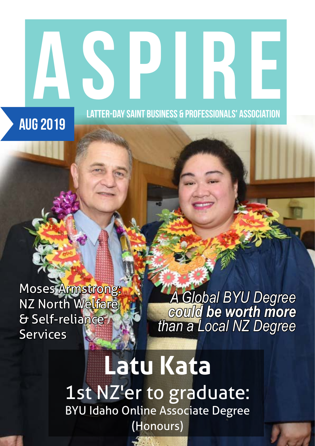## ASPIRE PROPERTY NAMED BEING AS A PROFESSIONAL STANSON CONTRACTOR LATTER-DAY SAINT BUSINESS & PROFESSIONALS' ASSOCIATION Aug 2019

Moses Armstrong: **NZ North Welfare** & Self-reliance **Services** 

*A Global BYU Degree could be worth more than a Local NZ Degree* 

**Latu Kata** 1st NZ'er to graduate: BYU Idaho Online Associate Degree (Honours)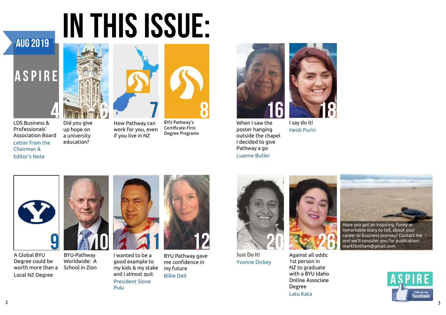# IN THIS ISSUE:



### ASPIRE



LDS Business & Professionals' Association Board Letter from the Chairman & Editor's Note



Did you give up hope on a university education?



A Global BYU Degree could be worth more than a Local NZ Degree

BYU-Pathway Worldwide: A School in Zion



I wanted to be a good example to my kids & my stake and I almost quit President Sione Pulu



When I saw the poster hanging outside the chapel I decided to give Pathway a go Luanne Butler



How Pathway can work for you, even if you live in NZ



BYU Pathway's Certificate-First Degree Programs





BYU Pathway gave me confidence in my future Billie Dell

remarkable story to tell, about your career or business journey? Contact me and we'll consider you for publication: markfantham@gmail.com



Just Do It! Yvonne Dickey



I say do it! Heidi Puriri

### Aug 2019



Against all odds: 1st person in NZ to graduate with a BYU Idaho Online Associate Degree Latu Kata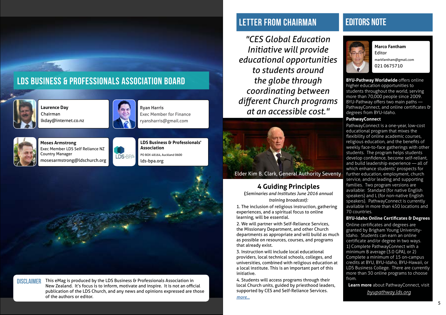### Ll letter from CHAIRMAN



**Laurence Day** Chairman lkday@internet.co.nz



**Ryan Harris**  Exec Member for Finance ryansharris@gmail.com



**Moses Armstrong**  Exec Member LDS Self Reliance NZ Country Manager mosesarmstrong@ldschurch.org







#### **DISCLAIMER**

### L lds business & Professionals association board

This eMag is produced by the LDS Business & Professionals Association in New Zealand. It's focus is to inform, motivate and inspire. It is not an official publication of the LDS Church, and any news and opinions expressed are those of the authors or editor.

#### **Marco Fantham**  Editor markfantham@gmail.com

021 0675710

### EDITORS NOTE



**BYU-Pathway Worldwide** offers online higher education opportunities to students throughout the world, serving more than 70,000 people since 2009. BYU-Pathway offers two main paths — PathwayConnect, and online certificates & degrees from BYU-Idaho.

#### **PathwayConnect**

PathwayConnect is a one-year, low-cost educational program that mixes the flexibility of online academic courses, religious education, and the benefits of weekly face-to-face gatherings with other students. The program helps students develop confidence, become self-reliant, and build leadership experience — all of which enhance students' prospects for further education, employment, church service, and/or leading and supporting families. Two program versions are available: Standard (for native English speakers) and L (for non-native English speakers). PathwayConnect is currently available in more than 450 locations and 70 countries.

**BYU-Idaho Online Certificates & Degrees**

Online certificates and degrees are granted by Brigham Young University-Idaho. Students can earn an online certificate and/or degree in two ways. 1) Complete PathwayConnect with a minimum B average (3.0 GPA), or 2) Complete a minimum of 15 on-campus credits at BYU, BYU-Idaho, BYU-Hawaii, or LDS Business College. There are currently more than 30 online programs to choose from.

**Learn more** about PathwayConnect, visit

*[byupathway.lds.org](https://byupathway.lds.org/)*

*"CES Global Education Initiative will provide educational opportunities to students around the globe through coordinating between different Church programs at an accessible cost."*



Elder Kim B. Clark, General Authority Seventy

#### **4 Guiding Principles**

**(***Seminaries and Institutes June 2016 annual training broadcast):*

1. The inclusion of religious instruction, gathering experiences, and a spiritual focus to online learning, will be essential.

2. We will partner with Self-Reliance Services, the Missionary Department, and other Church departments as appropriate and will build as much as possible on resources, courses, and programs that already exist.

3. Instruction will include local educational providers, local technical schools, colleges, and universities, combined with religious education at a local institute. This is an important part of this initiative.

4. Students will access programs through their local Church units, guided by priesthood leaders, supported by CES and Self-Reliance Services.

*[more...](https://www.churchofjesuschrist.org/church/news/new-global-education-initiative-announced-at-training-broadcast-for-seminary-and-institute-teachers?lang=eng&_)*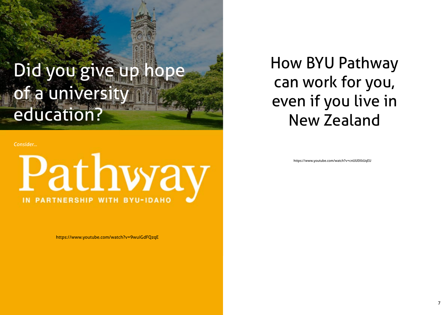## Did you give up hope of a university education?

https://www.youtube.com/watch?v=9wuiGdFQzqE

https://www.youtube.com/watch?v=cnUUEKkUqEU

*Consider...*

## Pathway **PARTNERSHIP WITH BYU-IDAHO**

How BYU Pathway can work for you, even if you live in New Zealand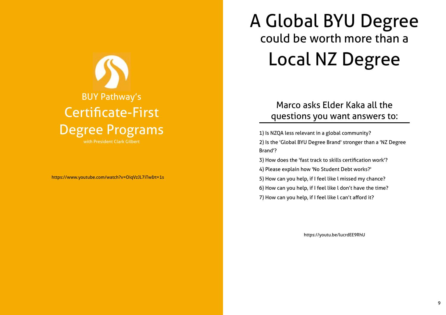## BUY Pathway's Certificate-First Degree Programs

with President Clark Gilbert

https://www.youtube.com/watch?v=OiqVzJL7iTw&t=1s

## A Global BYU Degree could be worth more than a Local NZ Degree

1) Is NZQA less relevant in a global community? 2) Is the 'Global BYU Degree Brand' stronger than a 'NZ Degree Brand'? 3) How does the 'fast track to skills certification work'? 4) Please explain how 'No Student Debt works?' 5) How can you help, if I feel like l missed my chance? 6) How can you help, if I feel like l don't have the time? 7) How can you help, if I feel like l can't afford it?

### Marco asks Elder Kaka all the questions you want answers to:

https://youtu.be/lucrdEE9RhU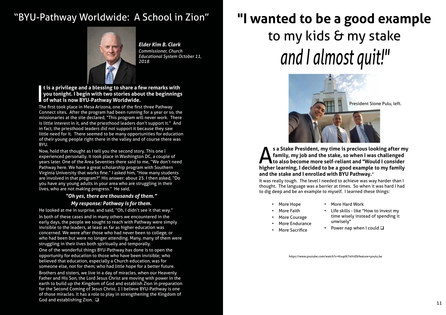### "BYU-Pathway Worldwide: A School in Zion"



#### I<br>I<br>I<br>I **t is a privilege and a blessing to share a few remarks with you tonight. I begin with two stories about the beginnings of what is now BYU-Pathway Worldwide.**

The first took place in Mesa Arizona, one of the first three Pathway Connect sites. After the program had been running for a year or so, the missionaries at the site declared, "This program will never work. There is little interest in it, and the priesthood leaders don't support it." And in fact, the priesthood leaders did not support it because they saw little need for it. There seemed to be many opportunities for education of their young people right there in the valley and of course there was BYU.

Now, hold that thought as I tell you the second story. This one I experienced personally. It took place in Washington DC, a couple of years later. One of the Area Seventies there said to me, "We don't need Pathway here. We have a great scholarship program with Southern Virginia University that works fine." I asked him, "How many students are involved in that program?" His answer: about 25. I then asked, "Do you have any young adults in your area who are struggling in their lives, who are not making progress." He said,

#### *"Oh yes, there are thousands of them." My response: Pathway is for them.*

He looked at me in surprise, and said, "Oh, I didn't see it that way."

#### s a Stake President, my time is precious looking after my<br>family, my job and the stake, so when I was challenged<br>to also become more self-reliant and "Would I consider<br>higher learning. I decided to be a good example to my **to also become more self-reliant and "Would I consider higher learning, I decided to be a good example to my family and the stake and I enrolled with BYU Pathway.**"

In both of these cases and in many others we encountered in the early days, the people we sought to reach with Pathway were simply invisible to the leaders, at least as far as higher education was concerned. We were after those who had never been to college, or who had been but were no longer attending. Many, many of them were struggling in their lives both spiritually and temporally.

One of the wonderful things BYU-Pathway has done is to open the opportunity for education to those who have been invisible; who believed that education, especially a Church education, was for someone else, not for them; who had little hope for a better future.

 $\frac{11}{11}$ Brothers and sisters, we live in a day of miracles, when our Heavenly Father and His Son, the Lord Jesus Christ are moving with power in the earth to build up the Kingdom of God and establish Zion in preparation for the Second Coming of Jesus Christ. 1 I believe BYU-Pathway is one of those miracles. It has a role to play in strengthening the Kingdom of God and establishing Zion.  $\Box$ 

*Elder Kim B. Clark Commissioner, Church Educational System October 11, 2018*

## **"I wanted to be a good example**  to my kids & my stake *and I almost quit!"*



**family, my job and the stake, so when I was challenged** 

It was really tough. The level I needed to achieve was way harder than I thought. The language was a barrier at times. So when it was hard I had to dig deep and be an example to myself. I learned these things:

https://www.youtube.com/watch?v=KsuplK7eVvE&feature=youtu.be

- 
- 

President Sione Pulu, left.

- More Hope
	-
- **More Faith** • More Courage
- More Endurance
- More Sacrifice

• More Hard Work

• Life skills - like "How to invest my time wisely instead of spending it unwisely"

• Power nap when I could  $\square$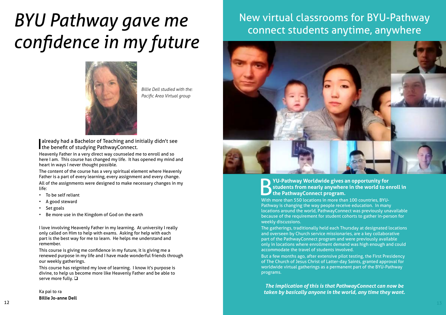*Billie Dell studied with the: Pacific Area Virtual group*

I already had a Bachelor of Teaching and initially didn't see I the benefit of studying PathwayConnect.

Heavenly Father in a very direct way counseled me to enroll and so here I am. This course has changed my life. It has opened my mind and heart in ways I never thought possible.

- To be self reliant
- A good steward
- Set goals
- Be more use in the Kingdom of God on the earth

The content of the course has a very spiritual element where Heavenly Father is a part of every learning, every assignment and every change. All of the assignments were designed to make necessary changes in my life:

This course has reignited my love of learning. I know it's purpose is divine, to help us become more like Heavenly Father and be able to serve more fully.  $\square$ 

#### **POLICE AT A THE SAMUARK STATE STATE STATE STATE STATE STATE STATE STATE STATE STATE STATE STATE STATE STATE STATE STATE STATE STATE STATE STATE STATE STATE STATE STATE STATE STATE STATE STATE STATE STATE STATE STATE STATE students from nearly anywhere in the world to enroll in the PathwayConnect program.**

I love involving Heavenly Father in my learning. At university I really only called on Him to help with exams. Asking for help with each part is the best way for me to learn. He helps me understand and remember.

This course is giving me confidence in my future, it is giving me a renewed purpose in my life and I have made wonderful friends through our weekly gatherings.

Ka pai to ra **Billie Jo-anne Dell**

## *BYU Pathway gave me confidence in my future*



### New virtual classrooms for BYU-Pathway connect students anytime, anywhere



With more than 550 locations in more than 100 countries, BYU-Pathway is changing the way people receive education. In many locations around the world, PathwayConnect was previously unavailable because of the requirement for student cohorts to gather in-person for weekly discussions.

The gatherings, traditionally held each Thursday at designated locations and overseen by Church service missionaries, are a key collaborative part of the PathwayConnect program and were previously available only in locations where enrollment demand was high enough and could accommodate the travel of students involved.

But a few months ago, after extensive pilot testing, the First Presidency of The Church of Jesus Christ of Latter-day Saints, granted approval for worldwide virtual gatherings as a permanent part of the BYU-Pathway programs.

*The implication of this is that PathwayConnect can now be taken by basically anyone in the world, any time they want.*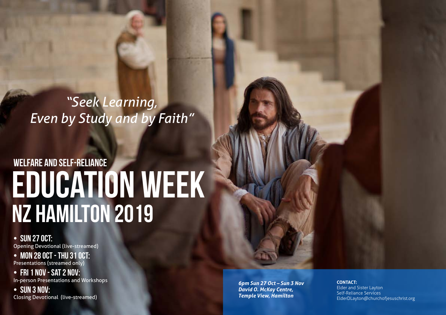*6pm Sun 27 Oct – Sun 3 Nov David O. McKay Centre, Temple View, Hamilton*

14 15 **CONTACT:** Elder and Sister Layton Self-Reliance Services ElderDLayton@churchofjesuschrist.org

• SUN 27 OCT: Opening Devotional (live-streamed)

• MON 28 OCT - THU 31 OCT: Presentations (streamed only)

## EDUCATION WEEK NZ HAMILTON 2019 WELFARE AND SELF-RELIANCE

• Fri 1 Nov - Sat 2 Nov:

In-person Presentations and Workshops

• Sun 3 Nov: Closing Devotional (live-streamed)

*"Seek Learning, Even by Study and by Faith"*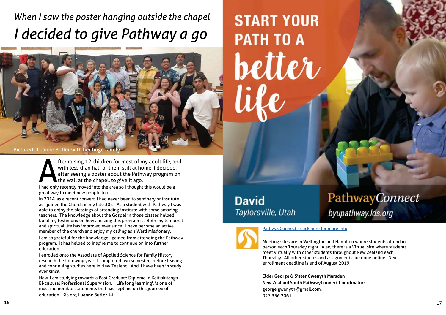## PathwayConnect

### byupathway.lds.org

### *When I saw the poster hanging outside the chapel I decided to give Pathway a go*

I had only recently moved into the area so I thought this would be a great way to meet new people too.

Now, I am studying towards a Post Graduate Diploma in Kaitiakitanga Bi-cultural Professional Supervision. 'Life long learning', is one of most memorable statements that has kept me on this journey of education. Kia ora, Luanne Butler  $\Box$ 

# **START YOUR PATH TO A better**

### **David** Taylorsville, Utah



[PathwayConnect - click here](https://byupathway.lds.org/pathwayconnect) for more info

In 2014, as a recent convert, I had never been to seminary or institute as I joined the Church in my late 30's. As a student with Pathway I was able to enjoy the blessings of attending institute with some amazing teachers. The knowledge about the Gospel in those classes helped build my testimony on how amazing this program is. Both my temporal and spiritual life has improved ever since. I have become an active member of the church and enjoy my calling as a Ward Missionary.

I am so grateful for the knowledge I gained from attending the Pathway program. It has helped to inspire me to continue on into further education.

I enrolled onto the Associate of Applied Science for Family History research the following year. I completed two semesters before leaving and continuing studies here in New Zealand. And, I have been in study ever since.



fter raising 12 children for most of my adult life, and<br>with less than half of them still at home, I decided,<br>after seeing a poster about the Pathway program on<br>the wall at the chapel, to give it ago.<br>I had only recently m with less than half of them still at home, I decided, after seeing a poster about the Pathway program on the wall at the chapel, to give it ago.

> Meeting sites are in Wellington and Hamilton where students attend in person each Thursday night. Also, there is a Virtual site where students meet virtually with other students throughout New Zealand each Thursday. All other studies and assignments are done online. Next enrollment deadline is end of August 2019.

**Elder George & Sister Gwenyth Marsden New Zealand South PathwayConnect Coordinators**  george.gwenyth@gmail.com. 027 336 2061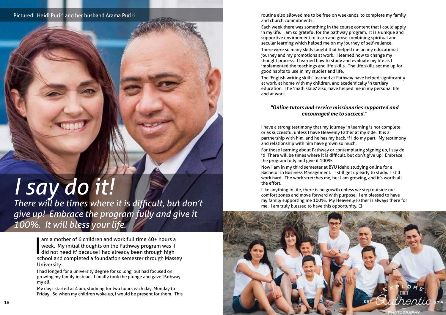

## *I say do it!*

*There will be times where it is difficult, but don't give up! Embrace the program fully and give it 100%. It will bless your life.*

> I am a mother of 6 children and work full time 40+ hours a<br>week. My initial thoughts on the Pathway program was 'l<br>did not need it' because I had already been through high<br>school and completed a foundation semester through week. My initial thoughts on the Pathway program was 'I did not need it' because I had already been through high school and completed a foundation semester through Massey University.

> I had longed for a university degree for so long, but had focused on growing my family instead. I finally took the plunge and gave 'Pathway' my all.

> My days started at 4 am, studying for two hours each day, Monday to Friday. So when my children woke up, I would be present for them. This

routine also allowed me to be free on weekends, to complete my family and church commitments.

Each week there was something in the course content that I could apply in my life. I am so grateful for the pathway program. It is a unique and supportive environment to learn and grow, combining spiritual and secular learning which helped me on my journey of self-reliance.

Like anything in life, there is no growth unless we step outside our comfort zones and move forward with purpose. I am blessed to have my family supporting me 100%. My Heavenly Father is always there for me. I am truly blessed to have this opportunity.  $\square$ 

There were so many skills taught that helped me on my educational journey and my promotions at work. I learned how to change my thought process. I learned how to study and evaluate my life as I implemented the teachings and life skills. The life skills set me up for good habits to use in my studies and life. The 'English writing skills' learned at Pathway have helped significantly at work, at home with my children, and academically in tertiary education. The 'math skills' also, have helped me in my personal life and at work.

#### *"Online tutors and service missionaries supported and encouraged me to succeed."*

I have a strong testimony that my journey in learning is not complete or as successful unless I have Heavenly Father at my side. It is a partnership with him, and he has my back, if I do my part. My testimony and relationship with him have grown so much.

For those learning about Pathway or contemplating signing up, I say do it! There will be times where it is difficult, but don't give up! Embrace the program fully and give it 100%.

Now I am in my third semester at BYU Idaho studying online for a Bachelor in Business Management. I still get up early to study. I still work hard. The work stretches me, but I am growing, and it's worth all the effort.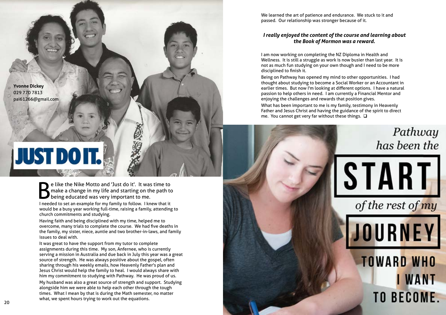

I needed to set an example for my family to follow. I knew that it would be a busy year working full-time, raising a family, attending to church commitments and studying.

Having faith and being disciplined with my time, helped me to overcome, many trials to complete the course. We had five deaths in the family, my sister, niece, auntie and two brother-in-laws, and family issues to deal with.

It was great to have the support from my tutor to complete assignments during this time. My son, Anfernee, who is currently serving a mission in Australia and due back in July this year was a great source of strength. He was always positive about the gospel, often sharing through his weekly emails, how Heavenly Father's plan and Jesus Christ would help the family to heal. I would always share with him my commitment to studying with Pathway. He was proud of us.

What has been important to me is my family, testimony in Heavenly Father and Jesus Christ and having the guidance of the spirit to direct me. You cannot get very far without these things.  $\square$ 

My husband was also a great source of strength and support. Studying alongside him we were able to help each other through the tough times. What I mean by that is during the Math semester, no matter what, we spent hours trying to work out the equations.

We learned the art of patience and endurance. We stuck to it and passed. Our relationship was stronger because of it.

#### *I really enjoyed the content of the course and learning about the Book of Mormon was a reward.*

I am now working on completing the NZ Diploma in Health and Wellness. It is still a struggle as work is now busier than last year. It is not as much fun studying on your own though and I need to be more disciplined to finish it.

Being on Pathway has opened my mind to other opportunities. I had thought about studying to become a Social Worker or an Accountant in earlier times. But now I'm looking at different options. I have a natural passion to help others in need. I am currently a Financial Mentor and enjoying the challenges and rewards that position gives.



# **JUST DO IT.**

Be like the Nike Motto and 'Just do it'. It was time to<br>make a change in my life and starting on the path to<br>being educated was very important to me. make a change in my life and starting on the path to **being educated was very important to me.**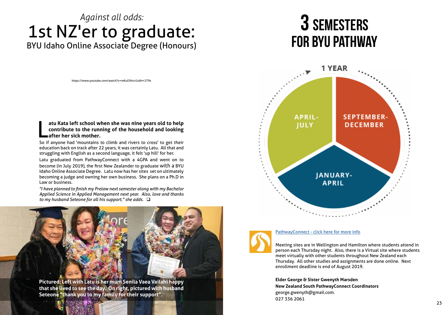### *Against all odds:* 1st NZ'er to graduate: BYU Idaho Online Associate Degree (Honours)

https://www.youtube.com/watch?v=mKul5Hcrt1o&t=279s

#### $\overline{\mathsf{L}}$ **atu Kata left school when she was nine years old to help contribute to the running of the household and looking after her sick mother.**

So if anyone had 'mountains to climb and rivers to cross' to get their education back on track after 22 years, it was certainly Latu. All that and struggling with English as a second language, it felt 'up hill' for her.

*"I have planned to finish my Prelaw next semester along with my Bachelor Applied Science in Applied Management next year. Also, love and thanks to my husband Seteone for all his support," she adds.*  $\square$ 

Latu graduated from PathwayConnect with a 4GPA and went on to become (in July 2019), the first New Zealander to graduate with a BYU Idaho Online Associate Degree. Latu now has her sites set on ultimately becoming a judge and owning her own business. She plans on a Ph.D in Law or business.

 $23$ **Elder George & Sister Gwenyth Marsden New Zealand South PathwayConnect Coordinators**  george.gwenyth@gmail.com. 027 336 2061





**APRIL-IULY** 



[PathwayConnect - click here](https://byupathway.lds.org/pathwayconnect) for more info

## 3 Semesters for BYU pathway

Meeting sites are in Wellington and Hamilton where students attend in person each Thursday night. Also, there is a Virtual site where students meet virtually with other students throughout New Zealand each Thursday. All other studies and assignments are done online. Next enrollment deadline is end of August 2019.